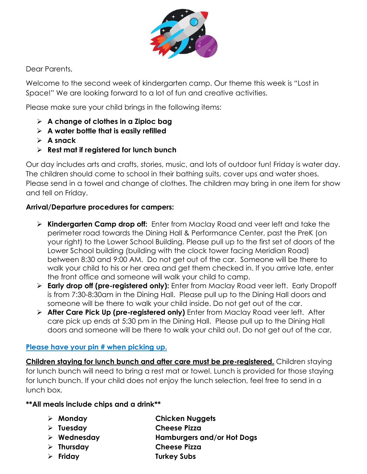

Dear Parents,

Welcome to the second week of kindergarten camp. Our theme this week is "Lost in Space!" We are looking forward to a lot of fun and creative activities.

Please make sure your child brings in the following items:

- ➢ **A change of clothes in a Ziploc bag**
- ➢ **A water bottle that is easily refilled**
- ➢ **A snack**
- ➢ **Rest mat if registered for lunch bunch**

Our day includes arts and crafts, stories, music, and lots of outdoor fun! Friday is water day. The children should come to school in their bathing suits, cover ups and water shoes. Please send in a towel and change of clothes. The children may bring in one item for show and tell on Friday.

### **Arrival/Departure procedures for campers:**

- ➢ **Kindergarten Camp drop off:** Enter from Maclay Road and veer left and take the perimeter road towards the Dining Hall & Performance Center, past the PreK (on your right) to the Lower School Building. Please pull up to the first set of doors of the Lower School building (building with the clock tower facing Meridian Road) between 8:30 and 9:00 AM. Do not get out of the car. Someone will be there to walk your child to his or her area and get them checked in. If you arrive late, enter the front office and someone will walk your child to camp.
- ➢ **Early drop off (pre-registered only):** Enter from Maclay Road veer left. Early Dropoff is from 7:30-8:30am in the Dining Hall. Please pull up to the Dining Hall doors and someone will be there to walk your child inside. Do not get out of the car.
- ➢ **After Care Pick Up (pre-registered only)** Enter from Maclay Road veer left. After care pick up ends at 5:30 pm in the Dining Hall. Please pull up to the Dining Hall doors and someone will be there to walk your child out. Do not get out of the car.

#### **Please have your pin # when picking up.**

**Children staying for lunch bunch and after care must be pre-registered.** Children staying for lunch bunch will need to bring a rest mat or towel. Lunch is provided for those staying for lunch bunch. If your child does not enjoy the lunch selection, feel free to send in a lunch box.

#### **\*\*All meals include chips and a drink\*\***

- ➢ **Monday Chicken Nuggets**
- ➢ **Tuesday Cheese Pizza**
- ➢ **Wednesday Hamburgers and/or Hot Dogs**
- ➢ **Thursday Cheese Pizza**
- ➢ **Friday Turkey Subs**